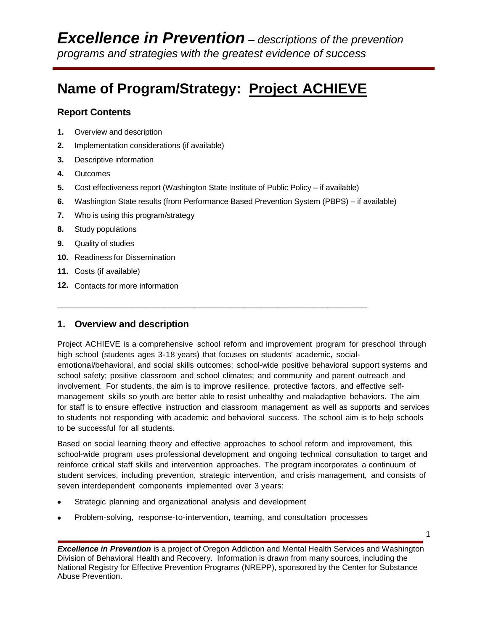# **Name of Program/Strategy: Project ACHIEVE**

### **Report Contents**

- **1.** Overview and description
- **2.** Implementation considerations (if available)
- **3.** Descriptive information
- **4.** Outcomes
- **5.** Cost effectiveness report (Washington State Institute of Public Policy if available)

**\_\_\_\_\_\_\_\_\_\_\_\_\_\_\_\_\_\_\_\_\_\_\_\_\_\_\_\_\_\_\_\_\_\_\_\_\_\_\_\_\_\_\_\_\_\_\_\_\_\_\_\_\_\_\_\_\_\_\_\_\_\_\_\_\_\_\_\_\_\_**

- **6.** Washington State results (from Performance Based Prevention System (PBPS) if available)
- **7.** Who is using this program/strategy
- **8.** Study populations
- **9.** Quality of studies
- **10.** Readiness for Dissemination
- **11.** Costs (if available)
- **12.** Contacts for more information

## **1. Overview and description**

Project ACHIEVE is a comprehensive school reform and improvement program for preschool through high school (students ages 3-18 years) that focuses on students' academic, socialemotional/behavioral, and social skills outcomes; school-wide positive behavioral support systems and school safety; positive classroom and school climates; and community and parent outreach and involvement. For students, the aim is to improve resilience, protective factors, and effective selfmanagement skills so youth are better able to resist unhealthy and maladaptive behaviors. The aim for staff is to ensure effective instruction and classroom management as well as supports and services to students not responding with academic and behavioral success. The school aim is to help schools to be successful for all students.

Based on social learning theory and effective approaches to school reform and improvement, this school-wide program uses professional development and ongoing technical consultation to target and reinforce critical staff skills and intervention approaches. The program incorporates a continuum of student services, including prevention, strategic intervention, and crisis management, and consists of seven interdependent components implemented over 3 years:

- Strategic planning and organizational analysis and development
- Problem-solving, response-to-intervention, teaming, and consultation processes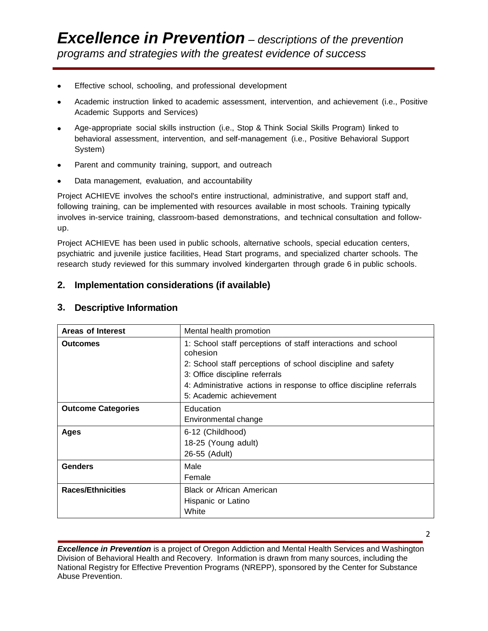- Effective school, schooling, and professional development
- Academic instruction linked to academic assessment, intervention, and achievement (i.e., Positive Academic Supports and Services)
- Age-appropriate social skills instruction (i.e., Stop & Think Social Skills Program) linked to behavioral assessment, intervention, and self-management (i.e., Positive Behavioral Support System)
- Parent and community training, support, and outreach
- Data management, evaluation, and accountability

Project ACHIEVE involves the school's entire instructional, administrative, and support staff and, following training, can be implemented with resources available in most schools. Training typically involves in-service training, classroom-based demonstrations, and technical consultation and followup.

Project ACHIEVE has been used in public schools, alternative schools, special education centers, psychiatric and juvenile justice facilities, Head Start programs, and specialized charter schools. The research study reviewed for this summary involved kindergarten through grade 6 in public schools.

## **2. Implementation considerations (if available)**

| Areas of Interest         | Mental health promotion                                                                                                                                                                                                                                                      |
|---------------------------|------------------------------------------------------------------------------------------------------------------------------------------------------------------------------------------------------------------------------------------------------------------------------|
| <b>Outcomes</b>           | 1: School staff perceptions of staff interactions and school<br>cohesion<br>2: School staff perceptions of school discipline and safety<br>3: Office discipline referrals<br>4: Administrative actions in response to office discipline referrals<br>5: Academic achievement |
| <b>Outcome Categories</b> | Education<br>Environmental change                                                                                                                                                                                                                                            |
| Ages                      | 6-12 (Childhood)<br>18-25 (Young adult)<br>26-55 (Adult)                                                                                                                                                                                                                     |
| <b>Genders</b>            | Male<br>Female                                                                                                                                                                                                                                                               |
| <b>Races/Ethnicities</b>  | <b>Black or African American</b><br>Hispanic or Latino<br>White                                                                                                                                                                                                              |

## **3. Descriptive Information**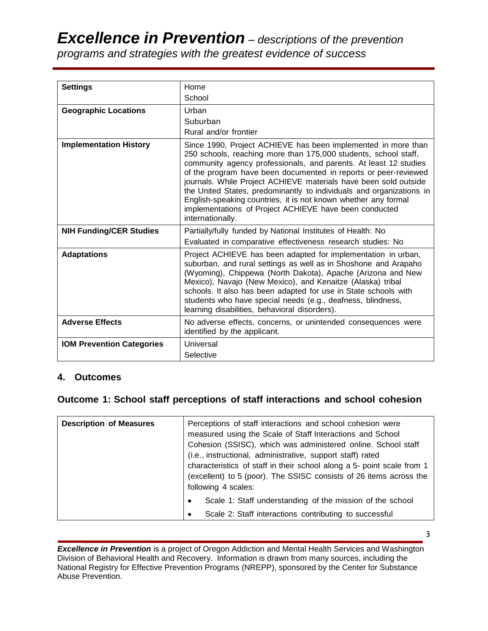| <b>Settings</b>                  | Home                                                                                                                                                                                                                                                                                                                                                                                                                                                                                                                                                                |
|----------------------------------|---------------------------------------------------------------------------------------------------------------------------------------------------------------------------------------------------------------------------------------------------------------------------------------------------------------------------------------------------------------------------------------------------------------------------------------------------------------------------------------------------------------------------------------------------------------------|
|                                  | School                                                                                                                                                                                                                                                                                                                                                                                                                                                                                                                                                              |
| <b>Geographic Locations</b>      | Urban                                                                                                                                                                                                                                                                                                                                                                                                                                                                                                                                                               |
|                                  | Suburban                                                                                                                                                                                                                                                                                                                                                                                                                                                                                                                                                            |
|                                  | Rural and/or frontier                                                                                                                                                                                                                                                                                                                                                                                                                                                                                                                                               |
| <b>Implementation History</b>    | Since 1990, Project ACHIEVE has been implemented in more than<br>250 schools, reaching more than 175,000 students, school staff,<br>community agency professionals, and parents. At least 12 studies<br>of the program have been documented in reports or peer-reviewed<br>journals. While Project ACHIEVE materials have been sold outside<br>the United States, predominantly to individuals and organizations in<br>English-speaking countries, it is not known whether any formal<br>implementations of Project ACHIEVE have been conducted<br>internationally. |
| <b>NIH Funding/CER Studies</b>   | Partially/fully funded by National Institutes of Health: No<br>Evaluated in comparative effectiveness research studies: No                                                                                                                                                                                                                                                                                                                                                                                                                                          |
| <b>Adaptations</b>               | Project ACHIEVE has been adapted for implementation in urban,<br>suburban, and rural settings as well as in Shoshone and Arapaho<br>(Wyoming), Chippewa (North Dakota), Apache (Arizona and New<br>Mexico), Navajo (New Mexico), and Kenaitze (Alaska) tribal<br>schools. It also has been adapted for use in State schools with<br>students who have special needs (e.g., deafness, blindness,<br>learning disabilities, behavioral disorders).                                                                                                                    |
| <b>Adverse Effects</b>           | No adverse effects, concerns, or unintended consequences were<br>identified by the applicant.                                                                                                                                                                                                                                                                                                                                                                                                                                                                       |
| <b>IOM Prevention Categories</b> | Universal<br>Selective                                                                                                                                                                                                                                                                                                                                                                                                                                                                                                                                              |

#### **4. Outcomes**

## **Outcome 1: School staff perceptions of staff interactions and school cohesion**

| <b>Description of Measures</b> | Perceptions of staff interactions and school cohesion were<br>measured using the Scale of Staff Interactions and School<br>Cohesion (SSISC), which was administered online. School staff<br>(i.e., instructional, administrative, support staff) rated<br>characteristics of staff in their school along a 5- point scale from 1<br>(excellent) to 5 (poor). The SSISC consists of 26 items across the<br>following 4 scales: |
|--------------------------------|-------------------------------------------------------------------------------------------------------------------------------------------------------------------------------------------------------------------------------------------------------------------------------------------------------------------------------------------------------------------------------------------------------------------------------|
|                                | Scale 1: Staff understanding of the mission of the school<br>$\bullet$<br>Scale 2: Staff interactions contributing to successful<br>٠                                                                                                                                                                                                                                                                                         |

**Excellence in Prevention** is a project of Oregon Addiction and Mental Health Services and Washington Division of Behavioral Health and Recovery. Information is drawn from many sources, including the National Registry for Effective Prevention Programs (NREPP), sponsored by the Center for Substance Abuse Prevention.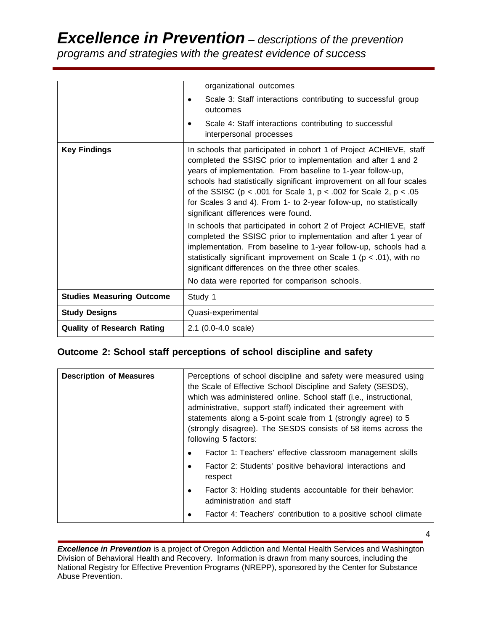# *Excellence in Prevention – descriptions of the prevention*

*programs and strategies with the greatest evidence of success*

|                                   | organizational outcomes                                                                                                                                                                                                                                                                                                                                                                                                                                             |
|-----------------------------------|---------------------------------------------------------------------------------------------------------------------------------------------------------------------------------------------------------------------------------------------------------------------------------------------------------------------------------------------------------------------------------------------------------------------------------------------------------------------|
|                                   | Scale 3: Staff interactions contributing to successful group<br>outcomes                                                                                                                                                                                                                                                                                                                                                                                            |
|                                   | Scale 4: Staff interactions contributing to successful<br>interpersonal processes                                                                                                                                                                                                                                                                                                                                                                                   |
| <b>Key Findings</b>               | In schools that participated in cohort 1 of Project ACHIEVE, staff<br>completed the SSISC prior to implementation and after 1 and 2<br>years of implementation. From baseline to 1-year follow-up,<br>schools had statistically significant improvement on all four scales<br>of the SSISC ( $p < .001$ for Scale 1, $p < .002$ for Scale 2, $p < .05$<br>for Scales 3 and 4). From 1- to 2-year follow-up, no statistically<br>significant differences were found. |
|                                   | In schools that participated in cohort 2 of Project ACHIEVE, staff<br>completed the SSISC prior to implementation and after 1 year of<br>implementation. From baseline to 1-year follow-up, schools had a<br>statistically significant improvement on Scale 1 ( $p < .01$ ), with no<br>significant differences on the three other scales.<br>No data were reported for comparison schools.                                                                         |
| <b>Studies Measuring Outcome</b>  | Study 1                                                                                                                                                                                                                                                                                                                                                                                                                                                             |
| <b>Study Designs</b>              | Quasi-experimental                                                                                                                                                                                                                                                                                                                                                                                                                                                  |
| <b>Quality of Research Rating</b> | 2.1 (0.0-4.0 scale)                                                                                                                                                                                                                                                                                                                                                                                                                                                 |

# **Outcome 2: School staff perceptions of school discipline and safety**

| <b>Description of Measures</b> | Perceptions of school discipline and safety were measured using<br>the Scale of Effective School Discipline and Safety (SESDS),<br>which was administered online. School staff (i.e., instructional,<br>administrative, support staff) indicated their agreement with<br>statements along a 5-point scale from 1 (strongly agree) to 5<br>(strongly disagree). The SESDS consists of 58 items across the<br>following 5 factors: |
|--------------------------------|----------------------------------------------------------------------------------------------------------------------------------------------------------------------------------------------------------------------------------------------------------------------------------------------------------------------------------------------------------------------------------------------------------------------------------|
|                                | Factor 1: Teachers' effective classroom management skills<br>$\bullet$                                                                                                                                                                                                                                                                                                                                                           |
|                                | Factor 2: Students' positive behavioral interactions and<br>$\bullet$<br>respect                                                                                                                                                                                                                                                                                                                                                 |
|                                | Factor 3: Holding students accountable for their behavior:<br>٠<br>administration and staff                                                                                                                                                                                                                                                                                                                                      |
|                                | Factor 4: Teachers' contribution to a positive school climate<br>٠                                                                                                                                                                                                                                                                                                                                                               |

**Excellence in Prevention** is a project of Oregon Addiction and Mental Health Services and Washington Division of Behavioral Health and Recovery. Information is drawn from many sources, including the National Registry for Effective Prevention Programs (NREPP), sponsored by the Center for Substance Abuse Prevention.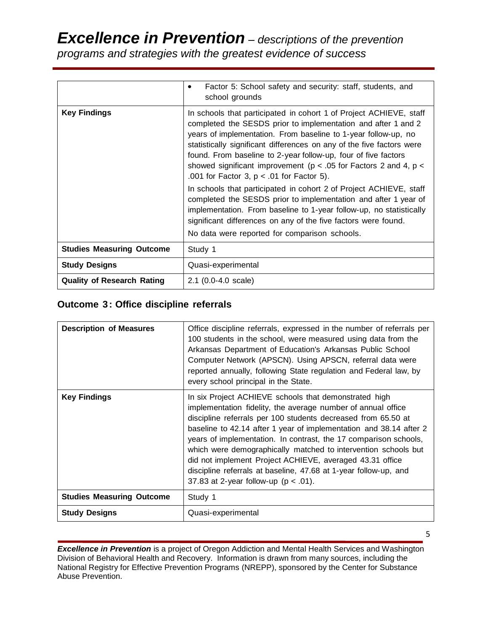|                                   | Factor 5: School safety and security: staff, students, and<br>٠<br>school grounds                                                                                                                                                                                                                                                                                                                                                                                        |
|-----------------------------------|--------------------------------------------------------------------------------------------------------------------------------------------------------------------------------------------------------------------------------------------------------------------------------------------------------------------------------------------------------------------------------------------------------------------------------------------------------------------------|
| <b>Key Findings</b>               | In schools that participated in cohort 1 of Project ACHIEVE, staff<br>completed the SESDS prior to implementation and after 1 and 2<br>years of implementation. From baseline to 1-year follow-up, no<br>statistically significant differences on any of the five factors were<br>found. From baseline to 2-year follow-up, four of five factors<br>showed significant improvement ( $p < .05$ for Factors 2 and 4, $p <$<br>.001 for Factor 3, $p < .01$ for Factor 5). |
|                                   | In schools that participated in cohort 2 of Project ACHIEVE, staff<br>completed the SESDS prior to implementation and after 1 year of<br>implementation. From baseline to 1-year follow-up, no statistically<br>significant differences on any of the five factors were found.<br>No data were reported for comparison schools.                                                                                                                                          |
| <b>Studies Measuring Outcome</b>  | Study 1                                                                                                                                                                                                                                                                                                                                                                                                                                                                  |
| <b>Study Designs</b>              | Quasi-experimental                                                                                                                                                                                                                                                                                                                                                                                                                                                       |
| <b>Quality of Research Rating</b> | $2.1$ (0.0-4.0 scale)                                                                                                                                                                                                                                                                                                                                                                                                                                                    |

# **Outcome 3: Office discipline referrals**

| <b>Description of Measures</b>   | Office discipline referrals, expressed in the number of referrals per<br>100 students in the school, were measured using data from the<br>Arkansas Department of Education's Arkansas Public School<br>Computer Network (APSCN). Using APSCN, referral data were<br>reported annually, following State regulation and Federal law, by<br>every school principal in the State.                                                                                                                                                                                                  |
|----------------------------------|--------------------------------------------------------------------------------------------------------------------------------------------------------------------------------------------------------------------------------------------------------------------------------------------------------------------------------------------------------------------------------------------------------------------------------------------------------------------------------------------------------------------------------------------------------------------------------|
| <b>Key Findings</b>              | In six Project ACHIEVE schools that demonstrated high<br>implementation fidelity, the average number of annual office<br>discipline referrals per 100 students decreased from 65.50 at<br>baseline to 42.14 after 1 year of implementation and 38.14 after 2<br>years of implementation. In contrast, the 17 comparison schools,<br>which were demographically matched to intervention schools but<br>did not implement Project ACHIEVE, averaged 43.31 office<br>discipline referrals at baseline, 47.68 at 1-year follow-up, and<br>37.83 at 2-year follow-up ( $p < .01$ ). |
| <b>Studies Measuring Outcome</b> | Study 1                                                                                                                                                                                                                                                                                                                                                                                                                                                                                                                                                                        |
| <b>Study Designs</b>             | Quasi-experimental                                                                                                                                                                                                                                                                                                                                                                                                                                                                                                                                                             |

**Excellence in Prevention** is a project of Oregon Addiction and Mental Health Services and Washington Division of Behavioral Health and Recovery. Information is drawn from many sources, including the National Registry for Effective Prevention Programs (NREPP), sponsored by the Center for Substance Abuse Prevention.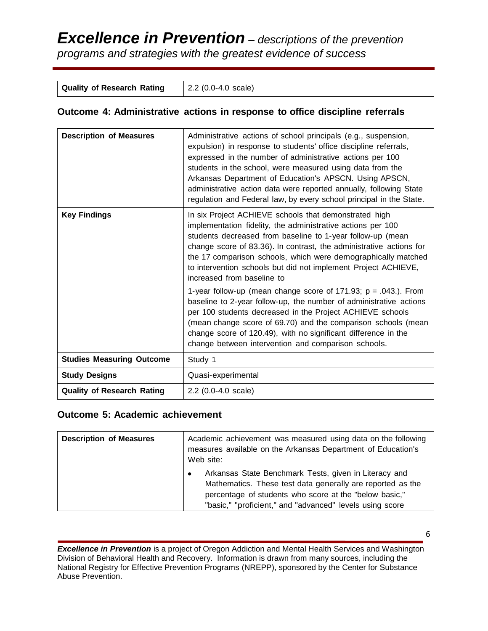| <b>Quality of Research Rating</b> | $\vert$ 2.2 (0.0-4.0 scale) |
|-----------------------------------|-----------------------------|
|-----------------------------------|-----------------------------|

### **Outcome 4: Administrative actions in response to office discipline referrals**

| <b>Description of Measures</b>    | Administrative actions of school principals (e.g., suspension,<br>expulsion) in response to students' office discipline referrals,<br>expressed in the number of administrative actions per 100<br>students in the school, were measured using data from the<br>Arkansas Department of Education's APSCN. Using APSCN,<br>administrative action data were reported annually, following State<br>regulation and Federal law, by every school principal in the State. |
|-----------------------------------|---------------------------------------------------------------------------------------------------------------------------------------------------------------------------------------------------------------------------------------------------------------------------------------------------------------------------------------------------------------------------------------------------------------------------------------------------------------------|
| <b>Key Findings</b>               | In six Project ACHIEVE schools that demonstrated high<br>implementation fidelity, the administrative actions per 100<br>students decreased from baseline to 1-year follow-up (mean<br>change score of 83.36). In contrast, the administrative actions for<br>the 17 comparison schools, which were demographically matched<br>to intervention schools but did not implement Project ACHIEVE,<br>increased from baseline to                                          |
|                                   | 1-year follow-up (mean change score of 171.93; $p = .043$ .). From<br>baseline to 2-year follow-up, the number of administrative actions<br>per 100 students decreased in the Project ACHIEVE schools<br>(mean change score of 69.70) and the comparison schools (mean<br>change score of 120.49), with no significant difference in the<br>change between intervention and comparison schools.                                                                     |
| <b>Studies Measuring Outcome</b>  | Study 1                                                                                                                                                                                                                                                                                                                                                                                                                                                             |
| <b>Study Designs</b>              | Quasi-experimental                                                                                                                                                                                                                                                                                                                                                                                                                                                  |
| <b>Quality of Research Rating</b> | $2.2$ (0.0-4.0 scale)                                                                                                                                                                                                                                                                                                                                                                                                                                               |

#### **Outcome 5: Academic achievement**

| <b>Description of Measures</b> | Academic achievement was measured using data on the following<br>measures available on the Arkansas Department of Education's<br>Web site:                                                                                                             |
|--------------------------------|--------------------------------------------------------------------------------------------------------------------------------------------------------------------------------------------------------------------------------------------------------|
|                                | Arkansas State Benchmark Tests, given in Literacy and<br>$\bullet$<br>Mathematics. These test data generally are reported as the<br>percentage of students who score at the "below basic,"<br>"basic," "proficient," and "advanced" levels using score |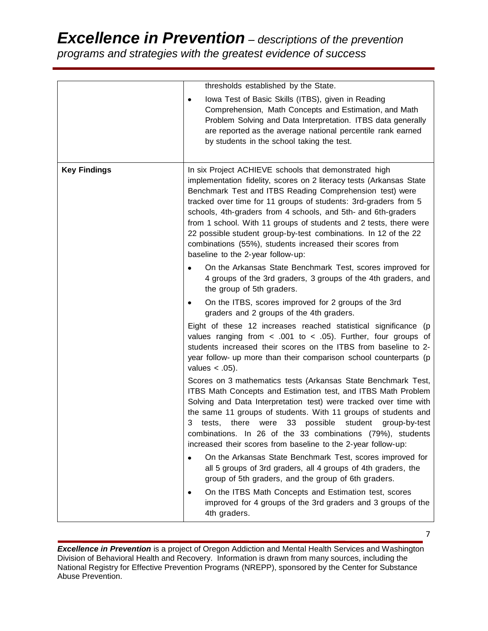# *Excellence in Prevention – descriptions of the prevention*

*programs and strategies with the greatest evidence of success*

|                     | thresholds established by the State.                                                                                                                                                                                                                                                                                                                                                                                                                                                                                                                                  |
|---------------------|-----------------------------------------------------------------------------------------------------------------------------------------------------------------------------------------------------------------------------------------------------------------------------------------------------------------------------------------------------------------------------------------------------------------------------------------------------------------------------------------------------------------------------------------------------------------------|
|                     | Iowa Test of Basic Skills (ITBS), given in Reading<br>٠<br>Comprehension, Math Concepts and Estimation, and Math<br>Problem Solving and Data Interpretation. ITBS data generally<br>are reported as the average national percentile rank earned<br>by students in the school taking the test.                                                                                                                                                                                                                                                                         |
| <b>Key Findings</b> | In six Project ACHIEVE schools that demonstrated high<br>implementation fidelity, scores on 2 literacy tests (Arkansas State<br>Benchmark Test and ITBS Reading Comprehension test) were<br>tracked over time for 11 groups of students: 3rd-graders from 5<br>schools, 4th-graders from 4 schools, and 5th- and 6th-graders<br>from 1 school. With 11 groups of students and 2 tests, there were<br>22 possible student group-by-test combinations. In 12 of the 22<br>combinations (55%), students increased their scores from<br>baseline to the 2-year follow-up: |
|                     | On the Arkansas State Benchmark Test, scores improved for<br>4 groups of the 3rd graders, 3 groups of the 4th graders, and<br>the group of 5th graders.                                                                                                                                                                                                                                                                                                                                                                                                               |
|                     | On the ITBS, scores improved for 2 groups of the 3rd<br>٠<br>graders and 2 groups of the 4th graders.                                                                                                                                                                                                                                                                                                                                                                                                                                                                 |
|                     | Eight of these 12 increases reached statistical significance (p<br>values ranging from $\lt$ .001 to $\lt$ .05). Further, four groups of<br>students increased their scores on the ITBS from baseline to 2-<br>year follow- up more than their comparison school counterparts (p<br>values $< .05$ ).                                                                                                                                                                                                                                                                 |
|                     | Scores on 3 mathematics tests (Arkansas State Benchmark Test,<br>ITBS Math Concepts and Estimation test, and ITBS Math Problem<br>Solving and Data Interpretation test) were tracked over time with<br>the same 11 groups of students. With 11 groups of students and<br>there were<br>33<br>possible<br>student group-by-test<br>tests,<br>3<br>combinations. In 26 of the 33 combinations (79%), students<br>increased their scores from baseline to the 2-year follow-up:                                                                                          |
|                     | On the Arkansas State Benchmark Test, scores improved for<br>٠<br>all 5 groups of 3rd graders, all 4 groups of 4th graders, the<br>group of 5th graders, and the group of 6th graders.                                                                                                                                                                                                                                                                                                                                                                                |
|                     | On the ITBS Math Concepts and Estimation test, scores<br>$\bullet$<br>improved for 4 groups of the 3rd graders and 3 groups of the<br>4th graders.                                                                                                                                                                                                                                                                                                                                                                                                                    |

**Excellence in Prevention** is a project of Oregon Addiction and Mental Health Services and Washington Division of Behavioral Health and Recovery. Information is drawn from many sources, including the National Registry for Effective Prevention Programs (NREPP), sponsored by the Center for Substance Abuse Prevention.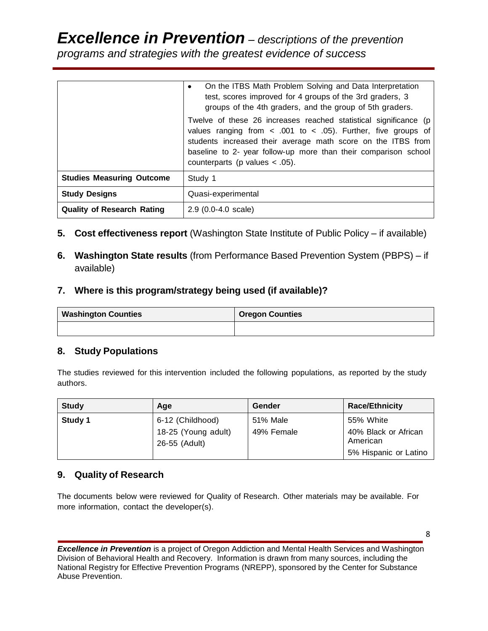|                                   | On the ITBS Math Problem Solving and Data Interpretation<br>test, scores improved for 4 groups of the 3rd graders, 3<br>groups of the 4th graders, and the group of 5th graders.                                                                                                                                  |
|-----------------------------------|-------------------------------------------------------------------------------------------------------------------------------------------------------------------------------------------------------------------------------------------------------------------------------------------------------------------|
|                                   | Twelve of these 26 increases reached statistical significance (p<br>values ranging from $\lt$ .001 to $\lt$ .05). Further, five groups of<br>students increased their average math score on the ITBS from<br>baseline to 2- year follow-up more than their comparison school<br>counterparts (p values $< .05$ ). |
| <b>Studies Measuring Outcome</b>  | Study 1                                                                                                                                                                                                                                                                                                           |
| <b>Study Designs</b>              | Quasi-experimental                                                                                                                                                                                                                                                                                                |
| <b>Quality of Research Rating</b> | $2.9$ (0.0-4.0 scale)                                                                                                                                                                                                                                                                                             |

- **5. Cost effectiveness report** (Washington State Institute of Public Policy if available)
- **6. Washington State results** (from Performance Based Prevention System (PBPS) if available)
- **7. Where is this program/strategy being used (if available)?**

| <b>Washington Counties</b> | <b>Oregon Counties</b> |
|----------------------------|------------------------|
|                            |                        |

## **8. Study Populations**

The studies reviewed for this intervention included the following populations, as reported by the study authors.

| <b>Study</b> | Age                                                      | Gender                 | <b>Race/Ethnicity</b>                                                  |
|--------------|----------------------------------------------------------|------------------------|------------------------------------------------------------------------|
| Study 1      | 6-12 (Childhood)<br>18-25 (Young adult)<br>26-55 (Adult) | 51% Male<br>49% Female | 55% White<br>40% Black or African<br>American<br>5% Hispanic or Latino |

## **9. Quality of Research**

The documents below were reviewed for Quality of Research. Other materials may be available. For more information, contact the developer(s).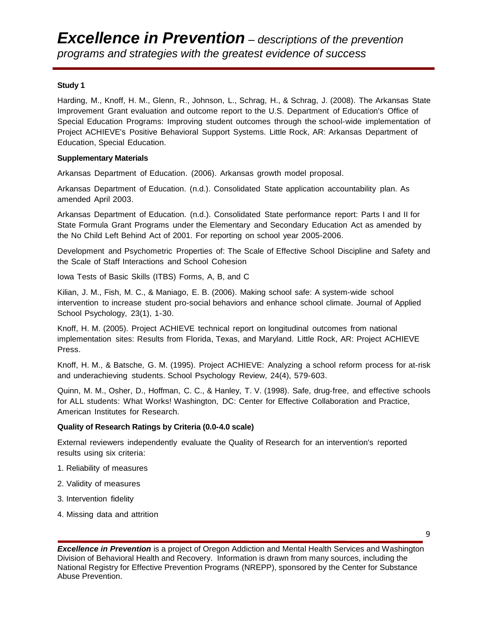#### **Study 1**

Harding, M., Knoff, H. M., Glenn, R., Johnson, L., Schrag, H., & Schrag, J. (2008). The Arkansas State Improvement Grant evaluation and outcome report to the U.S. Department of Education's Office of Special Education Programs: Improving student outcomes through the school-wide implementation of Project ACHIEVE's Positive Behavioral Support Systems. Little Rock, AR: Arkansas Department of Education, Special Education.

#### **Supplementary Materials**

Arkansas Department of Education. (2006). Arkansas growth model proposal.

Arkansas Department of Education. (n.d.). Consolidated State application accountability plan. As amended April 2003.

Arkansas Department of Education. (n.d.). Consolidated State performance report: Parts I and II for State Formula Grant Programs under the Elementary and Secondary Education Act as amended by the No Child Left Behind Act of 2001. For reporting on school year 2005-2006.

Development and Psychometric Properties of: The Scale of Effective School Discipline and Safety and the Scale of Staff Interactions and School Cohesion

Iowa Tests of Basic Skills (ITBS) Forms, A, B, and C

Kilian, J. M., Fish, M. C., & Maniago, E. B. (2006). Making school safe: A system-wide school intervention to increase student pro-social behaviors and enhance school climate. Journal of Applied School Psychology, 23(1), 1-30.

Knoff, H. M. (2005). Project ACHIEVE technical report on longitudinal outcomes from national implementation sites: Results from Florida, Texas, and Maryland. Little Rock, AR: Project ACHIEVE Press.

Knoff, H. M., & Batsche, G. M. (1995). Project ACHIEVE: Analyzing a school reform process for at-risk and underachieving students. School Psychology Review, 24(4), 579-603.

Quinn, M. M., Osher, D., Hoffman, C. C., & Hanley, T. V. (1998). Safe, drug-free, and effective schools for ALL students: What Works! Washington, DC: Center for Effective Collaboration and Practice, American Institutes for Research.

#### **Quality of Research Ratings by Criteria (0.0-4.0 scale)**

External reviewers independently evaluate the Quality of Research for an intervention's reported results using six criteria:

- 1. Reliability of measures
- 2. Validity of measures
- 3. Intervention fidelity
- 4. Missing data and attrition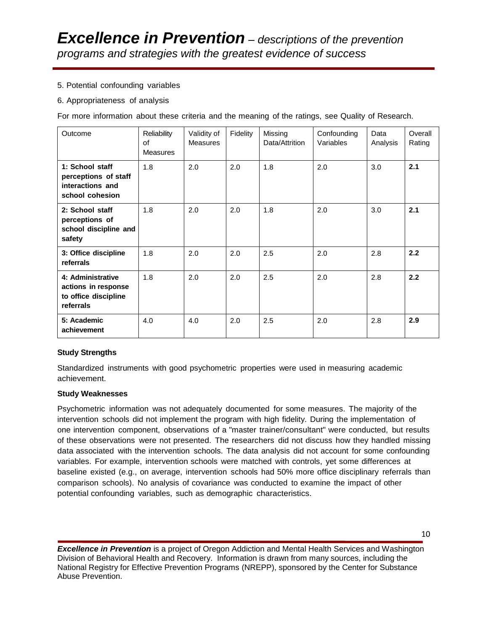#### 5. Potential confounding variables

#### 6. Appropriateness of analysis

For more information about these criteria and the meaning of the ratings, see Quality of Research.

| Outcome                                                                        | Reliability<br>of<br><b>Measures</b> | Validity of<br><b>Measures</b> | Fidelity | Missing<br>Data/Attrition | Confounding<br>Variables | Data<br>Analysis | Overall<br>Rating |
|--------------------------------------------------------------------------------|--------------------------------------|--------------------------------|----------|---------------------------|--------------------------|------------------|-------------------|
| 1: School staff<br>perceptions of staff<br>interactions and<br>school cohesion | 1.8                                  | 2.0                            | 2.0      | 1.8                       | 2.0                      | 3.0              | 2.1               |
| 2: School staff<br>perceptions of<br>school discipline and<br>safety           | 1.8                                  | 2.0                            | 2.0      | 1.8                       | 2.0                      | 3.0              | 2.1               |
| 3: Office discipline<br>referrals                                              | 1.8                                  | 2.0                            | 2.0      | 2.5                       | 2.0                      | 2.8              | 2.2               |
| 4: Administrative<br>actions in response<br>to office discipline<br>referrals  | 1.8                                  | 2.0                            | 2.0      | 2.5                       | 2.0                      | 2.8              | 2.2               |
| 5: Academic<br>achievement                                                     | 4.0                                  | 4.0                            | 2.0      | 2.5                       | 2.0                      | 2.8              | 2.9               |

#### **Study Strengths**

Standardized instruments with good psychometric properties were used in measuring academic achievement.

#### **Study Weaknesses**

Psychometric information was not adequately documented for some measures. The majority of the intervention schools did not implement the program with high fidelity. During the implementation of one intervention component, observations of a "master trainer/consultant" were conducted, but results of these observations were not presented. The researchers did not discuss how they handled missing data associated with the intervention schools. The data analysis did not account for some confounding variables. For example, intervention schools were matched with controls, yet some differences at baseline existed (e.g., on average, intervention schools had 50% more office disciplinary referrals than comparison schools). No analysis of covariance was conducted to examine the impact of other potential confounding variables, such as demographic characteristics.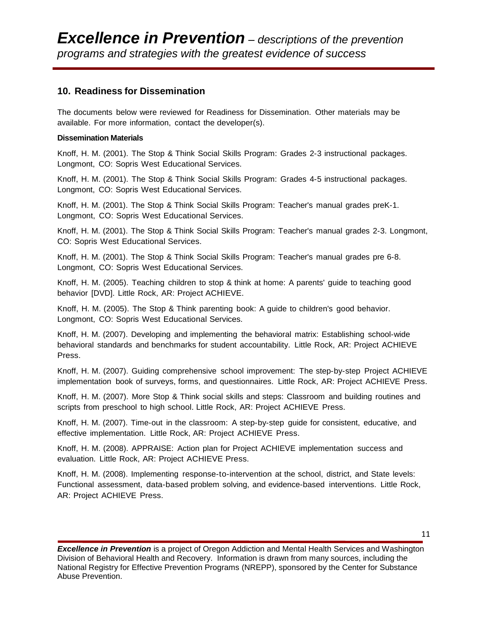### **10. Readiness for Dissemination**

The documents below were reviewed for Readiness for Dissemination. Other materials may be available. For more information, contact the developer(s).

#### **Dissemination Materials**

Knoff, H. M. (2001). The Stop & Think Social Skills Program: Grades 2-3 instructional packages. Longmont, CO: Sopris West Educational Services.

Knoff, H. M. (2001). The Stop & Think Social Skills Program: Grades 4-5 instructional packages. Longmont, CO: Sopris West Educational Services.

Knoff, H. M. (2001). The Stop & Think Social Skills Program: Teacher's manual grades preK-1. Longmont, CO: Sopris West Educational Services.

Knoff, H. M. (2001). The Stop & Think Social Skills Program: Teacher's manual grades 2-3. Longmont, CO: Sopris West Educational Services.

Knoff, H. M. (2001). The Stop & Think Social Skills Program: Teacher's manual grades pre 6-8. Longmont, CO: Sopris West Educational Services.

Knoff, H. M. (2005). Teaching children to stop & think at home: A parents' guide to teaching good behavior [DVD]. Little Rock, AR: Project ACHIEVE.

Knoff, H. M. (2005). The Stop & Think parenting book: A guide to children's good behavior. Longmont, CO: Sopris West Educational Services.

Knoff, H. M. (2007). Developing and implementing the behavioral matrix: Establishing school-wide behavioral standards and benchmarks for student accountability. Little Rock, AR: Project ACHIEVE Press.

Knoff, H. M. (2007). Guiding comprehensive school improvement: The step-by-step Project ACHIEVE implementation book of surveys, forms, and questionnaires. Little Rock, AR: Project ACHIEVE Press.

Knoff, H. M. (2007). More Stop & Think social skills and steps: Classroom and building routines and scripts from preschool to high school. Little Rock, AR: Project ACHIEVE Press.

Knoff, H. M. (2007). Time-out in the classroom: A step-by-step guide for consistent, educative, and effective implementation. Little Rock, AR: Project ACHIEVE Press.

Knoff, H. M. (2008). APPRAISE: Action plan for Project ACHIEVE implementation success and evaluation. Little Rock, AR: Project ACHIEVE Press.

Knoff, H. M. (2008). Implementing response-to-intervention at the school, district, and State levels: Functional assessment, data-based problem solving, and evidence-based interventions. Little Rock, AR: Project ACHIEVE Press.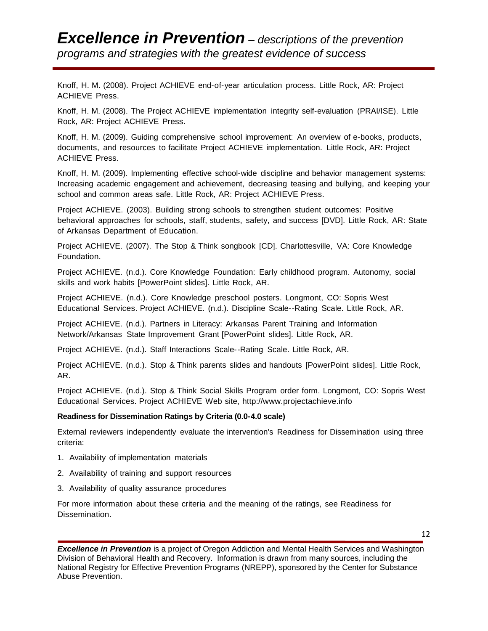Knoff, H. M. (2008). Project ACHIEVE end-of-year articulation process. Little Rock, AR: Project ACHIEVE Press.

Knoff, H. M. (2008). The Project ACHIEVE implementation integrity self-evaluation (PRAI/ISE). Little Rock, AR: Project ACHIEVE Press.

Knoff, H. M. (2009). Guiding comprehensive school improvement: An overview of e-books, products, documents, and resources to facilitate Project ACHIEVE implementation. Little Rock, AR: Project ACHIEVE Press.

Knoff, H. M. (2009). Implementing effective school-wide discipline and behavior management systems: Increasing academic engagement and achievement, decreasing teasing and bullying, and keeping your school and common areas safe. Little Rock, AR: Project ACHIEVE Press.

Project ACHIEVE. (2003). Building strong schools to strengthen student outcomes: Positive behavioral approaches for schools, staff, students, safety, and success [DVD]. Little Rock, AR: State of Arkansas Department of Education.

Project ACHIEVE. (2007). The Stop & Think songbook [CD]. Charlottesville, VA: Core Knowledge Foundation.

Project ACHIEVE. (n.d.). Core Knowledge Foundation: Early childhood program. Autonomy, social skills and work habits [PowerPoint slides]. Little Rock, AR.

Project ACHIEVE. (n.d.). Core Knowledge preschool posters. Longmont, CO: Sopris West Educational Services. Project ACHIEVE. (n.d.). Discipline Scale--Rating Scale. Little Rock, AR.

Project ACHIEVE. (n.d.). Partners in Literacy: Arkansas Parent Training and Information Network/Arkansas State Improvement Grant [PowerPoint slides]. Little Rock, AR.

Project ACHIEVE. (n.d.). Staff Interactions Scale--Rating Scale. Little Rock, AR.

Project ACHIEVE. (n.d.). Stop & Think parents slides and handouts [PowerPoint slides]. Little Rock, AR.

Project ACHIEVE. (n.d.). Stop & Think Social Skills Program order form. Longmont, CO: Sopris West Educational Services. Project ACHIEVE Web site, [http://www.projectachieve.info](http://www.projectachieve.info/)

#### **Readiness for Dissemination Ratings by Criteria (0.0-4.0 scale)**

External reviewers independently evaluate the intervention's Readiness for Dissemination using three criteria:

- 1. Availability of implementation materials
- 2. Availability of training and support resources
- 3. Availability of quality assurance procedures

For more information about these criteria and the meaning of the ratings, see [Readiness](http://nrepp.samhsa.gov/ReviewRFD.aspx) for [Dissemination.](http://nrepp.samhsa.gov/ReviewRFD.aspx)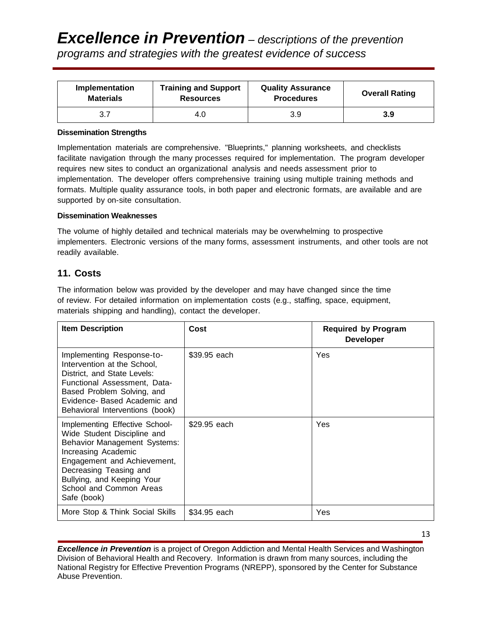| Implementation   | <b>Training and Support</b> | <b>Quality Assurance</b> | <b>Overall Rating</b> |
|------------------|-----------------------------|--------------------------|-----------------------|
| <b>Materials</b> | <b>Resources</b>            | <b>Procedures</b>        |                       |
|                  | 4.0                         | 3.9                      | 3.9                   |

#### **Dissemination Strengths**

Implementation materials are comprehensive. "Blueprints," planning worksheets, and checklists facilitate navigation through the many processes required for implementation. The program developer requires new sites to conduct an organizational analysis and needs assessment prior to implementation. The developer offers comprehensive training using multiple training methods and formats. Multiple quality assurance tools, in both paper and electronic formats, are available and are supported by on-site consultation.

#### **Dissemination Weaknesses**

The volume of highly detailed and technical materials may be overwhelming to prospective implementers. Electronic versions of the many forms, assessment instruments, and other tools are not readily available.

#### **11. Costs**

The information below was provided by the developer and may have changed since the time of review. For detailed information on implementation costs (e.g., staffing, space, equipment, materials shipping and handling), contact the developer.

| <b>Item Description</b>                                                                                                                                                                                                                               | Cost         | <b>Required by Program</b><br><b>Developer</b> |
|-------------------------------------------------------------------------------------------------------------------------------------------------------------------------------------------------------------------------------------------------------|--------------|------------------------------------------------|
| Implementing Response-to-<br>Intervention at the School,<br>District. and State Levels:<br>Functional Assessment, Data-<br>Based Problem Solving, and<br>Evidence- Based Academic and<br>Behavioral Interventions (book)                              | \$39.95 each | Yes                                            |
| Implementing Effective School-<br>Wide Student Discipline and<br>Behavior Management Systems:<br>Increasing Academic<br>Engagement and Achievement,<br>Decreasing Teasing and<br>Bullying, and Keeping Your<br>School and Common Areas<br>Safe (book) | \$29.95 each | Yes                                            |
| More Stop & Think Social Skills                                                                                                                                                                                                                       | \$34.95 each | Yes                                            |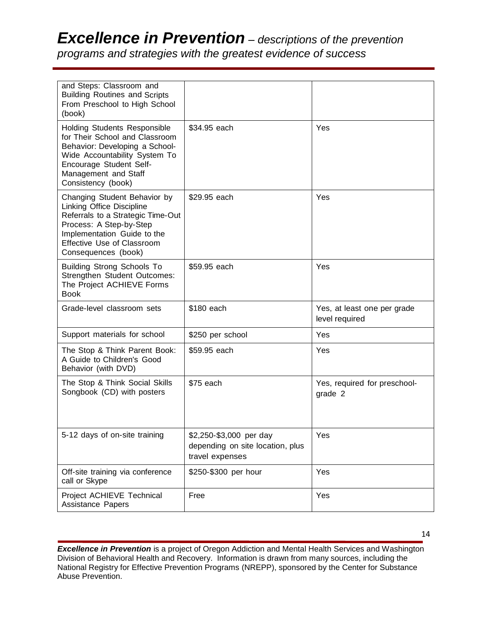# *Excellence in Prevention – descriptions of the prevention*

*programs and strategies with the greatest evidence of success*

| and Steps: Classroom and<br><b>Building Routines and Scripts</b><br>From Preschool to High School<br>(book)                                                                                                       |                                                                                |                                               |
|-------------------------------------------------------------------------------------------------------------------------------------------------------------------------------------------------------------------|--------------------------------------------------------------------------------|-----------------------------------------------|
| <b>Holding Students Responsible</b><br>for Their School and Classroom<br>Behavior: Developing a School-<br>Wide Accountability System To<br>Encourage Student Self-<br>Management and Staff<br>Consistency (book) | \$34.95 each                                                                   | Yes                                           |
| Changing Student Behavior by<br>Linking Office Discipline<br>Referrals to a Strategic Time-Out<br>Process: A Step-by-Step<br>Implementation Guide to the<br>Effective Use of Classroom<br>Consequences (book)     | \$29.95 each                                                                   | Yes                                           |
| <b>Building Strong Schools To</b><br>Strengthen Student Outcomes:<br>The Project ACHIEVE Forms<br><b>Book</b>                                                                                                     | \$59.95 each                                                                   | Yes                                           |
| Grade-level classroom sets                                                                                                                                                                                        | \$180 each                                                                     | Yes, at least one per grade<br>level required |
| Support materials for school                                                                                                                                                                                      | \$250 per school                                                               | Yes                                           |
| The Stop & Think Parent Book:<br>A Guide to Children's Good<br>Behavior (with DVD)                                                                                                                                | \$59.95 each                                                                   | Yes                                           |
| The Stop & Think Social Skills<br>Songbook (CD) with posters                                                                                                                                                      | \$75 each                                                                      | Yes, required for preschool-<br>grade 2       |
| 5-12 days of on-site training                                                                                                                                                                                     | \$2,250-\$3,000 per day<br>depending on site location, plus<br>travel expenses | Yes                                           |
| Off-site training via conference<br>call or Skype                                                                                                                                                                 | \$250-\$300 per hour                                                           | Yes                                           |
| Project ACHIEVE Technical<br>Assistance Papers                                                                                                                                                                    | Free                                                                           | Yes                                           |